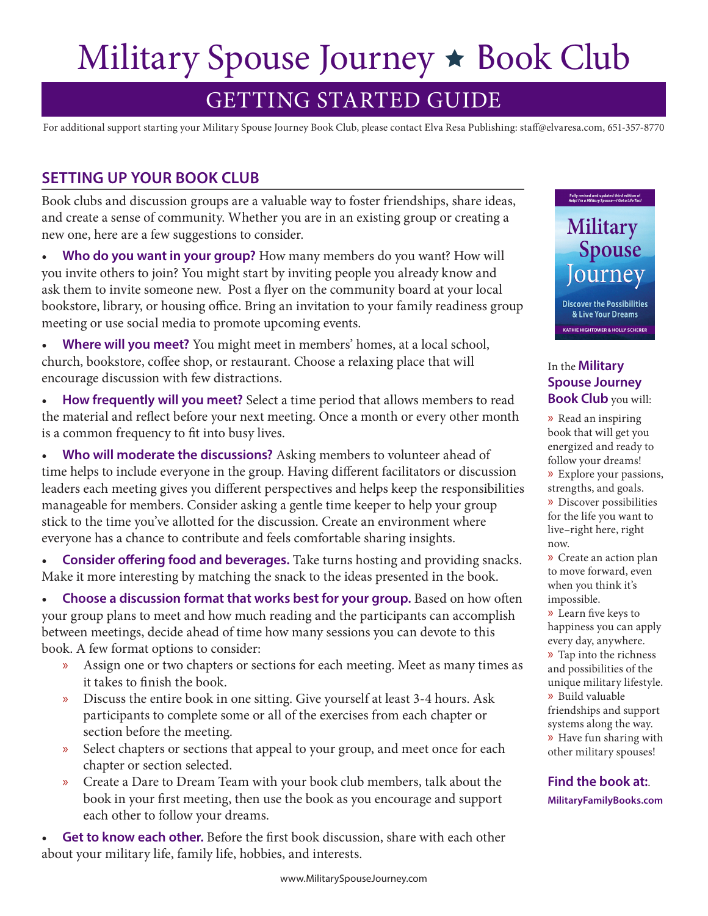# Military Spouse Journey  $\star$  Book Club

## GETTING STARTED GUIDE

For additional support starting your Military Spouse Journey Book Club, please contact Elva Resa Publishing: staff@elvaresa.com, 651-357-8770

#### **SETTING UP YOUR BOOK CLUB**

Book clubs and discussion groups are a valuable way to foster friendships, share ideas, and create a sense of community. Whether you are in an existing group or creating a new one, here are a few suggestions to consider.

• **Who do you want in your group?** How many members do you want? How will you invite others to join? You might start by inviting people you already know and ask them to invite someone new. Post a flyer on the community board at your local bookstore, library, or housing office. Bring an invitation to your family readiness group meeting or use social media to promote upcoming events.

• **Where will you meet?** You might meet in members' homes, at a local school, church, bookstore, coffee shop, or restaurant. Choose a relaxing place that will encourage discussion with few distractions.

• **How frequently will you meet?** Select a time period that allows members to read the material and reflect before your next meeting. Once a month or every other month is a common frequency to fit into busy lives.

**Who will moderate the discussions?** Asking members to volunteer ahead of time helps to include everyone in the group. Having different facilitators or discussion leaders each meeting gives you different perspectives and helps keep the responsibilities manageable for members. Consider asking a gentle time keeper to help your group stick to the time you've allotted for the discussion. Create an environment where everyone has a chance to contribute and feels comfortable sharing insights.

• **Consider offering food and beverages.** Take turns hosting and providing snacks. Make it more interesting by matching the snack to the ideas presented in the book.

• Choose a discussion format that works best for your group. Based on how often your group plans to meet and how much reading and the participants can accomplish between meetings, decide ahead of time how many sessions you can devote to this book. A few format options to consider:

- » Assign one or two chapters or sections for each meeting. Meet as many times as it takes to finish the book.
- » Discuss the entire book in one sitting. Give yourself at least 3-4 hours. Ask participants to complete some or all of the exercises from each chapter or section before the meeting.
- » Select chapters or sections that appeal to your group, and meet once for each chapter or section selected.
- » Create a Dare to Dream Team with your book club members, talk about the book in your first meeting, then use the book as you encourage and support each other to follow your dreams.

• **Get to know each other.** Before the first book discussion, share with each other about your military life, family life, hobbies, and interests.



& Live Your Dreams **KATHIE HIGHTOWER & HOLLY SCHERER** 

Fully revised and updated third edition of<br>Help! I'm a Military Spouse-I Get a Life Too!

#### In the **Military Spouse Journey Book Club** you will:

» Read an inspiring book that will get you energized and ready to follow your dreams! » Explore your passions, strengths, and goals. » Discover possibilities for the life you want to live–right here, right now.

» Create an action plan to move forward, even when you think it's impossible.

» Learn five keys to happiness you can apply every day, anywhere.

» Tap into the richness and possibilities of the

unique military lifestyle. » Build valuable

friendships and support systems along the way. » Have fun sharing with other military spouses!

**Find the book at:**. **MilitaryFamilyBooks.com**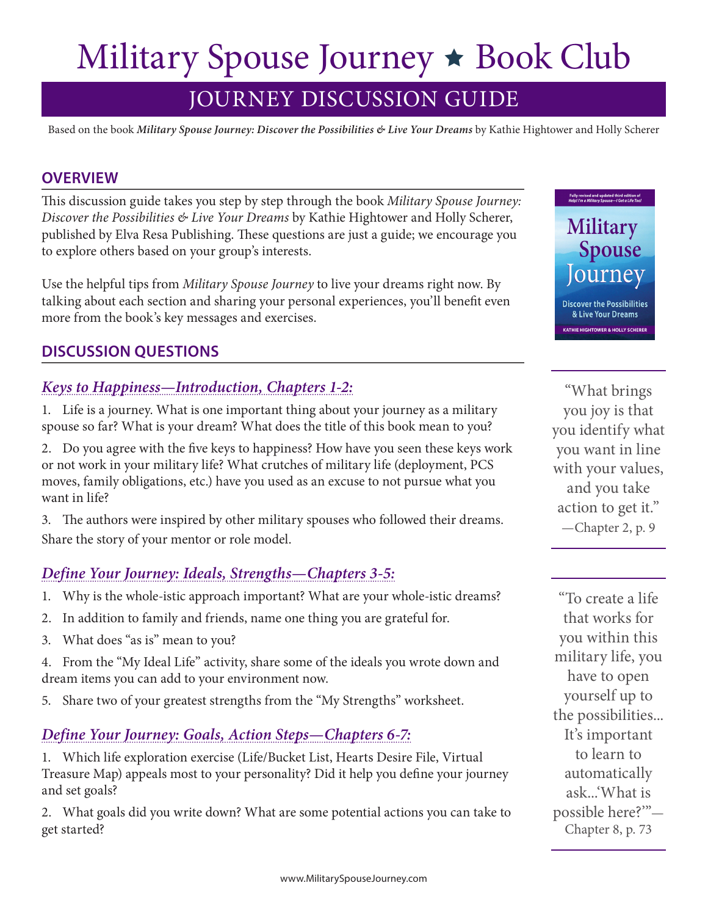# Military Spouse Journey  $\star$  Book Club

# JOURNEY DISCUSSION GUIDE

Based on the book *Military Spouse Journey: Discover the Possibilities & Live Your Dreams* by Kathie Hightower and Holly Scherer

#### **OVERVIEW**

This discussion guide takes you step by step through the book *Military Spouse Journey: Discover the Possibilities & Live Your Dreams* by Kathie Hightower and Holly Scherer, published by Elva Resa Publishing. These questions are just a guide; we encourage you to explore others based on your group's interests.

Use the helpful tips from *Military Spouse Journey* to live your dreams right now. By talking about each section and sharing your personal experiences, you'll benefit even more from the book's key messages and exercises.

### **DISCUSSION QUESTIONS**

#### *Keys to Happiness—Introduction, Chapters 1-2:*

1. Life is a journey. What is one important thing about your journey as a military spouse so far? What is your dream? What does the title of this book mean to you?

2. Do you agree with the five keys to happiness? How have you seen these keys work or not work in your military life? What crutches of military life (deployment, PCS moves, family obligations, etc.) have you used as an excuse to not pursue what you want in life?

3. The authors were inspired by other military spouses who followed their dreams. Share the story of your mentor or role model.

### *Define Your Journey: Ideals, Strengths—Chapters 3-5:*

- 1. Why is the whole-istic approach important? What are your whole-istic dreams?
- 2. In addition to family and friends, name one thing you are grateful for.
- 3. What does "as is" mean to you?
- 4. From the "My Ideal Life" activity, share some of the ideals you wrote down and dream items you can add to your environment now.
- 5. Share two of your greatest strengths from the "My Strengths" worksheet.

#### *Define Your Journey: Goals, Action Steps—Chapters 6-7:*

1. Which life exploration exercise (Life/Bucket List, Hearts Desire File, Virtual Treasure Map) appeals most to your personality? Did it help you define your journey and set goals?

2. What goals did you write down? What are some potential actions you can take to get started?

Military **Spouse** Journey **Discover the Possibilities** & Live Your Dreams

**THIE HIGHTOWER & HOLLY SCHEREF** 

Fully revised and updated third edition of<br>Help! I'm a Military Spouse-I Get a Life Too!

"What brings you joy is that you identify what you want in line with your values, and you take action to get it." —Chapter 2, p. 9

"To create a life that works for you within this military life, you have to open yourself up to the possibilities... It's important to learn to automatically ask...'What is possible here?'"— Chapter 8, p. 73